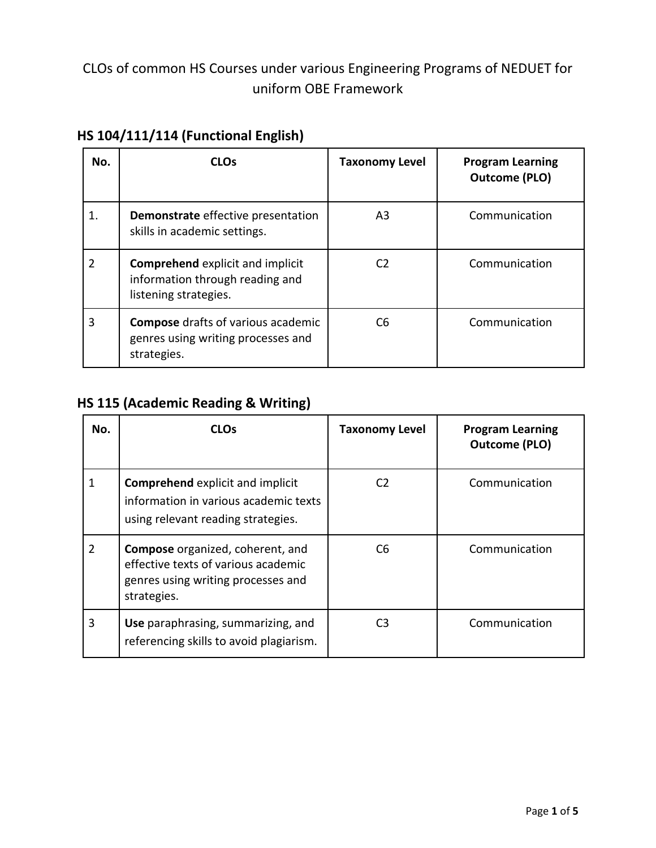## CLOs of common HS Courses under various Engineering Programs of NEDUET for uniform OBE Framework

| No. | <b>CLOs</b>                                                                                         | <b>Taxonomy Level</b> | <b>Program Learning</b><br><b>Outcome (PLO)</b> |
|-----|-----------------------------------------------------------------------------------------------------|-----------------------|-------------------------------------------------|
| 1.  | Demonstrate effective presentation<br>skills in academic settings.                                  | A3                    | Communication                                   |
| 2   | <b>Comprehend explicit and implicit</b><br>information through reading and<br>listening strategies. | C <sub>2</sub>        | Communication                                   |
| 3   | <b>Compose</b> drafts of various academic<br>genres using writing processes and<br>strategies.      | C <sub>6</sub>        | Communication                                   |

### **HS 104/111/114 (Functional English)**

### **HS 115 (Academic Reading & Writing)**

| No. | <b>CLOs</b>                                                                                                                         | <b>Taxonomy Level</b> | <b>Program Learning</b><br><b>Outcome (PLO)</b> |
|-----|-------------------------------------------------------------------------------------------------------------------------------------|-----------------------|-------------------------------------------------|
| 1   | <b>Comprehend</b> explicit and implicit<br>information in various academic texts<br>using relevant reading strategies.              | C <sub>2</sub>        | Communication                                   |
| 2   | <b>Compose</b> organized, coherent, and<br>effective texts of various academic<br>genres using writing processes and<br>strategies. | C <sub>6</sub>        | Communication                                   |
| 3   | Use paraphrasing, summarizing, and<br>referencing skills to avoid plagiarism.                                                       | C <sub>3</sub>        | Communication                                   |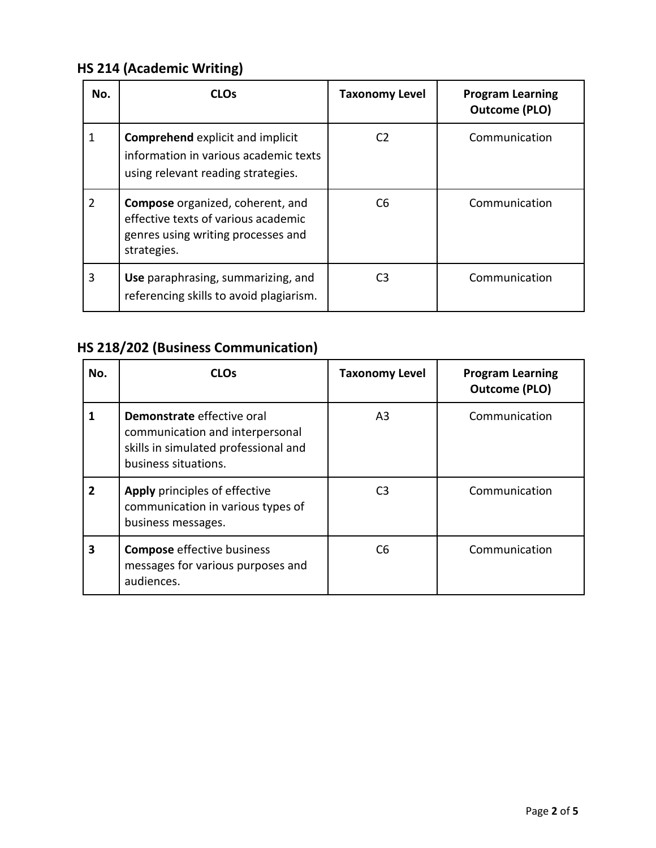# **HS 214 (Academic Writing)**

| No.            | <b>CLOs</b>                                                                                                                         | <b>Taxonomy Level</b> | <b>Program Learning</b><br><b>Outcome (PLO)</b> |
|----------------|-------------------------------------------------------------------------------------------------------------------------------------|-----------------------|-------------------------------------------------|
| 1              | <b>Comprehend explicit and implicit</b><br>information in various academic texts<br>using relevant reading strategies.              | C <sub>2</sub>        | Communication                                   |
| $\overline{2}$ | <b>Compose</b> organized, coherent, and<br>effective texts of various academic<br>genres using writing processes and<br>strategies. | C <sub>6</sub>        | Communication                                   |
| 3              | Use paraphrasing, summarizing, and<br>referencing skills to avoid plagiarism.                                                       | CЗ                    | Communication                                   |

# **HS 218/202 (Business Communication)**

| No.            | <b>CLOs</b>                                                                                                                   | <b>Taxonomy Level</b> | <b>Program Learning</b><br><b>Outcome (PLO)</b> |
|----------------|-------------------------------------------------------------------------------------------------------------------------------|-----------------------|-------------------------------------------------|
| 1              | Demonstrate effective oral<br>communication and interpersonal<br>skills in simulated professional and<br>business situations. | A <sub>3</sub>        | Communication                                   |
| $\overline{2}$ | Apply principles of effective<br>communication in various types of<br>business messages.                                      | C <sub>3</sub>        | Communication                                   |
| 3              | <b>Compose</b> effective business<br>messages for various purposes and<br>audiences.                                          | C <sub>6</sub>        | Communication                                   |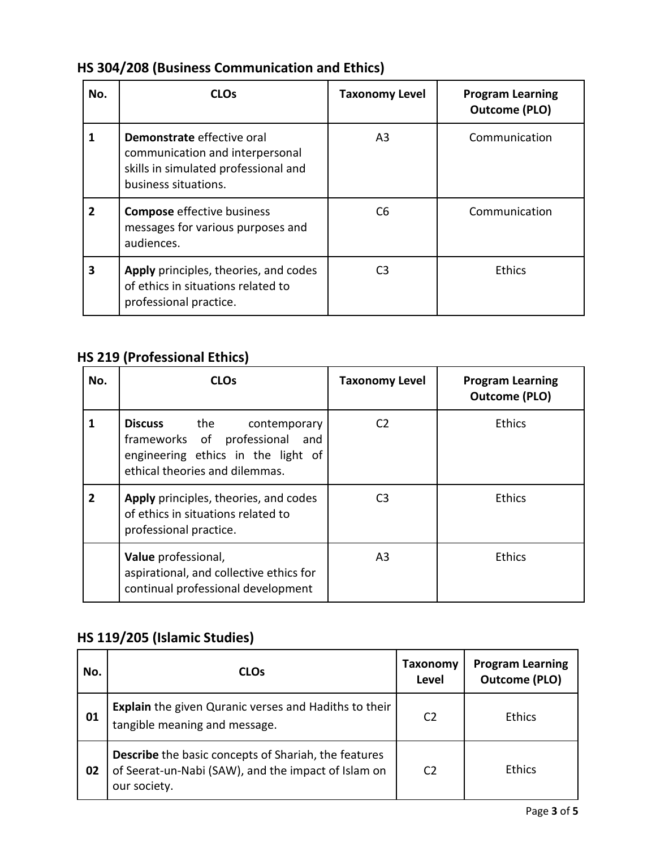# **HS 304/208 (Business Communication and Ethics)**

| No.            | <b>CLOs</b>                                                                                                                   | <b>Taxonomy Level</b> | <b>Program Learning</b><br><b>Outcome (PLO)</b> |
|----------------|-------------------------------------------------------------------------------------------------------------------------------|-----------------------|-------------------------------------------------|
| 1              | Demonstrate effective oral<br>communication and interpersonal<br>skills in simulated professional and<br>business situations. | A <sub>3</sub>        | Communication                                   |
| $\overline{2}$ | <b>Compose</b> effective business<br>messages for various purposes and<br>audiences.                                          | C <sub>6</sub>        | Communication                                   |
| 3              | Apply principles, theories, and codes<br>of ethics in situations related to<br>professional practice.                         | C <sub>3</sub>        | <b>Ethics</b>                                   |

# **HS 219 (Professional Ethics)**

| No.            | <b>CLOs</b>                                                                                                                                        | <b>Taxonomy Level</b> | <b>Program Learning</b><br><b>Outcome (PLO)</b> |
|----------------|----------------------------------------------------------------------------------------------------------------------------------------------------|-----------------------|-------------------------------------------------|
| 1              | <b>Discuss</b><br>the<br>contemporary<br>frameworks of professional<br>and<br>engineering ethics in the light of<br>ethical theories and dilemmas. | C <sub>2</sub>        | <b>Ethics</b>                                   |
| $\overline{2}$ | Apply principles, theories, and codes<br>of ethics in situations related to<br>professional practice.                                              | C <sub>3</sub>        | <b>Ethics</b>                                   |
|                | Value professional,<br>aspirational, and collective ethics for<br>continual professional development                                               | A <sub>3</sub>        | <b>Ethics</b>                                   |

### **HS 119/205 (Islamic Studies)**

| No. | <b>CLOs</b>                                                                                                                        | Taxonomy<br>Level | <b>Program Learning</b><br><b>Outcome (PLO)</b> |
|-----|------------------------------------------------------------------------------------------------------------------------------------|-------------------|-------------------------------------------------|
| 01  | <b>Explain</b> the given Quranic verses and Hadiths to their<br>tangible meaning and message.                                      | C <sub>2</sub>    | Ethics                                          |
| 02  | <b>Describe</b> the basic concepts of Shariah, the features<br>of Seerat-un-Nabi (SAW), and the impact of Islam on<br>our society. | C <sub>2</sub>    | <b>Ethics</b>                                   |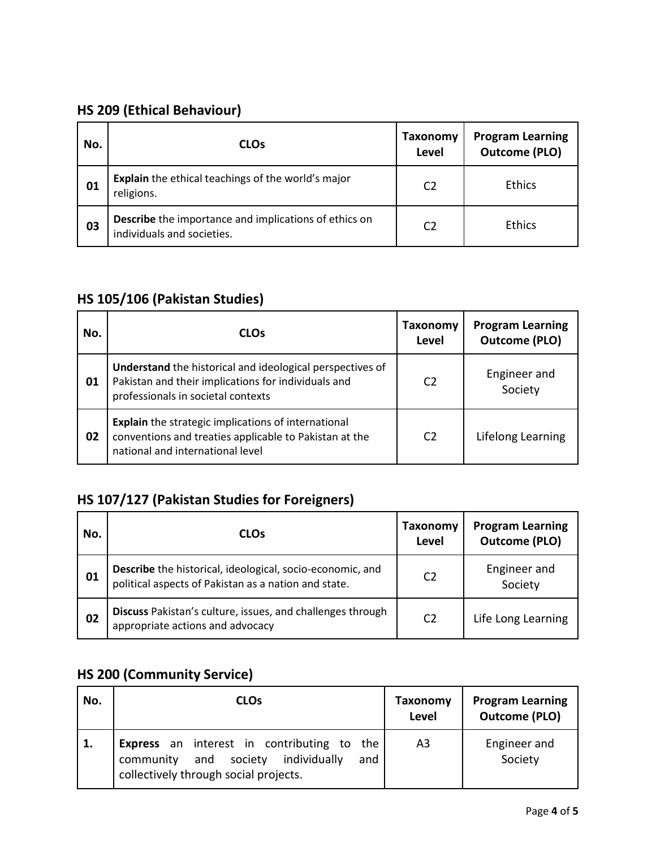### **HS 209 (Ethical Behaviour)**

| No. | <b>CLOs</b>                                                                                | Taxonomy<br>Level | <b>Program Learning</b><br><b>Outcome (PLO)</b> |
|-----|--------------------------------------------------------------------------------------------|-------------------|-------------------------------------------------|
| 01  | Explain the ethical teachings of the world's major<br>religions.                           | C <sub>2</sub>    | <b>Ethics</b>                                   |
| 03  | <b>Describe</b> the importance and implications of ethics on<br>individuals and societies. | C <sub>2</sub>    | <b>Ethics</b>                                   |

#### **HS 105/106 (Pakistan Studies)**

| No. | <b>CLOs</b>                                                                                                                                              | Taxonomy<br>Level | <b>Program Learning</b><br><b>Outcome (PLO)</b> |
|-----|----------------------------------------------------------------------------------------------------------------------------------------------------------|-------------------|-------------------------------------------------|
| 01  | Understand the historical and ideological perspectives of<br>Pakistan and their implications for individuals and<br>professionals in societal contexts   | C <sub>2</sub>    | Engineer and<br>Society                         |
| 02  | <b>Explain</b> the strategic implications of international<br>conventions and treaties applicable to Pakistan at the<br>national and international level | C <sub>2</sub>    | Lifelong Learning                               |

### **HS 107/127 (Pakistan Studies for Foreigners)**

| No. | <b>CLOs</b>                                                                                                       | Taxonomy<br>Level | <b>Program Learning</b><br><b>Outcome (PLO)</b> |
|-----|-------------------------------------------------------------------------------------------------------------------|-------------------|-------------------------------------------------|
| 01  | Describe the historical, ideological, socio-economic, and<br>political aspects of Pakistan as a nation and state. | C <sub>2</sub>    | Engineer and<br>Society                         |
| 02  | Discuss Pakistan's culture, issues, and challenges through<br>appropriate actions and advocacy                    | C <sub>2</sub>    | Life Long Learning                              |

# **HS 200 (Community Service)**

| No. | <b>CLOs</b>                                                                                                                                      | Taxonomy<br>Level | <b>Program Learning</b><br><b>Outcome (PLO)</b> |
|-----|--------------------------------------------------------------------------------------------------------------------------------------------------|-------------------|-------------------------------------------------|
| 1.  | <b>Express</b> an interest in contributing to<br>the<br>individually<br>community and<br>society<br>and<br>collectively through social projects. | A3                | Engineer and<br>Society                         |